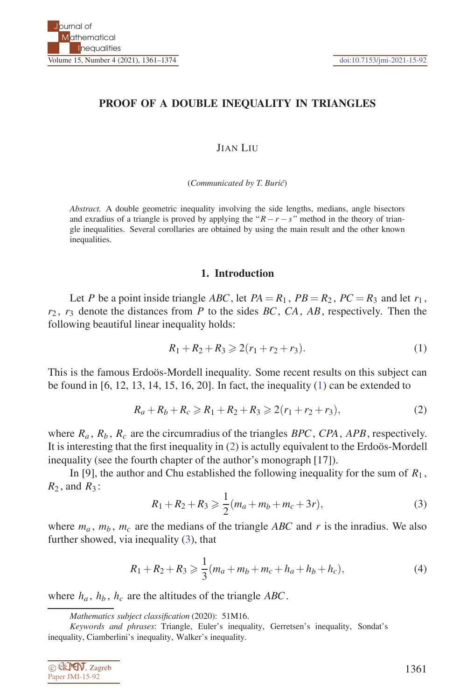## **PROOF OF A DOUBLE INEQUALITY IN TRIANGLES**

#### JIAN LIU

(*Communicated by T. Buri´c*)

*Abstract.* A double geometric inequality involving the side lengths, medians, angle bisectors and exradius of a triangle is proved by applying the " $R - r - s$ " method in the theory of triangle inequalities. Several corollaries are obtained by using the main result and the other known inequalities.

#### **1. Introduction**

Let *P* be a point inside triangle *ABC*, let  $PA = R_1$ ,  $PB = R_2$ ,  $PC = R_3$  and let  $r_1$ , *r*<sup>2</sup> , *r*<sup>3</sup> denote the distances from *P* to the sides *BC*, *CA*, *AB*, respectively. Then the following beautiful linear inequality holds:

$$
R_1 + R_2 + R_3 \geqslant 2(r_1 + r_2 + r_3). \tag{1}
$$

This is the famous Erdoos-Mordell inequality. Some recent results on this subject can be found in  $[6, 12, 13, 14, 15, 16, 20]$ . In fact, the inequality  $(1)$  can be extended to

$$
R_a + R_b + R_c \ge R_1 + R_2 + R_3 \ge 2(r_1 + r_2 + r_3),\tag{2}
$$

where  $R_a$ ,  $R_b$ ,  $R_c$  are the circumradius of the triangles  $BPC$ ,  $CPA$ ,  $APB$ , respectively. It is interesting that the first inequality in  $(2)$  is actully equivalent to the Erdo  $\delta s$ -Mordell inequality (see the fourth chapter of the author's monograph [17]).

In [9], the author and Chu established the following inequality for the sum of  $R_1$ ,  $R_2$ , and  $R_3$ :

$$
R_1 + R_2 + R_3 \ge \frac{1}{2}(m_a + m_b + m_c + 3r),
$$
\n(3)

where  $m_a$ ,  $m_b$ ,  $m_c$  are the medians of the triangle *ABC* and *r* is the inradius. We also further showed, via inequality (3), that

$$
R_1 + R_2 + R_3 \geq \frac{1}{3}(m_a + m_b + m_c + h_a + h_b + h_c),
$$
\n(4)

where  $h_a$ ,  $h_b$ ,  $h_c$  are the altitudes of the triangle *ABC*.

C ELLIEN, Zagreb Paper JMI-15-92

*Mathematics subject classification* (2020): 51M16.

*Keywords and phrases*: Triangle, Euler's inequality, Gerretsen's inequality, Sondat's inequality, Ciamberlini's inequality, Walker's inequality.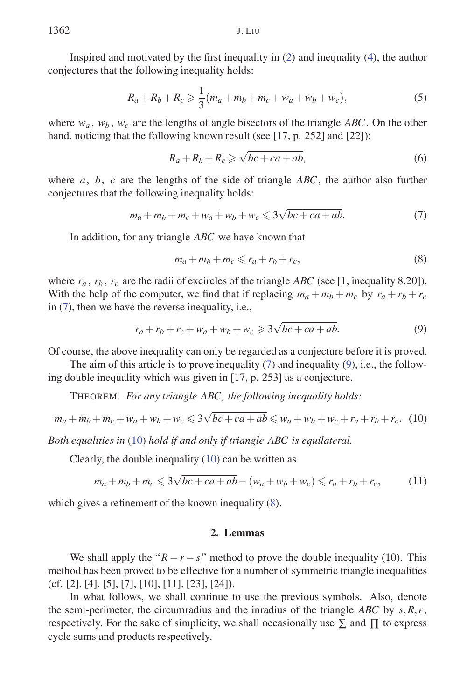Inspired and motivated by the first inequality in (2) and inequality (4), the author conjectures that the following inequality holds:

$$
R_a + R_b + R_c \geq \frac{1}{3}(m_a + m_b + m_c + w_a + w_b + w_c),
$$
\n(5)

where  $w_a$ ,  $w_b$ ,  $w_c$  are the lengths of angle bisectors of the triangle *ABC*. On the other hand, noticing that the following known result (see [17, p. 252] and [22]):

$$
R_a + R_b + R_c \ge \sqrt{bc + ca + ab},\tag{6}
$$

where *a*, *b*, *c* are the lengths of the side of triangle *ABC*, the author also further conjectures that the following inequality holds:

$$
m_a + m_b + m_c + w_a + w_b + w_c \leqslant 3\sqrt{bc + ca + ab}.\tag{7}
$$

In addition, for any triangle *ABC* we have known that

$$
m_a + m_b + m_c \leqslant r_a + r_b + r_c, \tag{8}
$$

where  $r_a$ ,  $r_b$ ,  $r_c$  are the radii of excircles of the triangle *ABC* (see [1, inequality 8.20]). With the help of the computer, we find that if replacing  $m_a + m_b + m_c$  by  $r_a + r_b + r_c$ in (7), then we have the reverse inequality, i.e.,

$$
r_a + r_b + r_c + w_a + w_b + w_c \ge 3\sqrt{bc + ca + ab}.\tag{9}
$$

Of course, the above inequality can only be regarded as a conjecture before it is proved.

The aim of this article is to prove inequality  $(7)$  and inequality  $(9)$ , i.e., the following double inequality which was given in [17, p. 253] as a conjecture.

THEOREM. *For any triangle ABC, the following inequality holds:*

$$
m_a + m_b + m_c + w_a + w_b + w_c \le 3\sqrt{bc + ca + ab} \le w_a + w_b + w_c + r_a + r_b + r_c. \tag{10}
$$

*Both equalities in* (10) *hold if and only if triangle ABC is equilateral.*

Clearly, the double inequality (10) can be written as

$$
m_a + m_b + m_c \leq 3\sqrt{bc + ca + ab} - (w_a + w_b + w_c) \leq r_a + r_b + r_c,
$$
 (11)

which gives a refinement of the known inequality (8).

## **2. Lemmas**

We shall apply the " $R - r - s$ " method to prove the double inequality (10). This method has been proved to be effective for a number of symmetric triangle inequalities (cf. [2], [4], [5], [7], [10], [11], [23], [24]).

In what follows, we shall continue to use the previous symbols. Also, denote the semi-perimeter, the circumradius and the inradius of the triangle *ABC* by *s,R,r*, respectively. For the sake of simplicity, we shall occasionally use  $\Sigma$  and  $\Pi$  to express cycle sums and products respectively.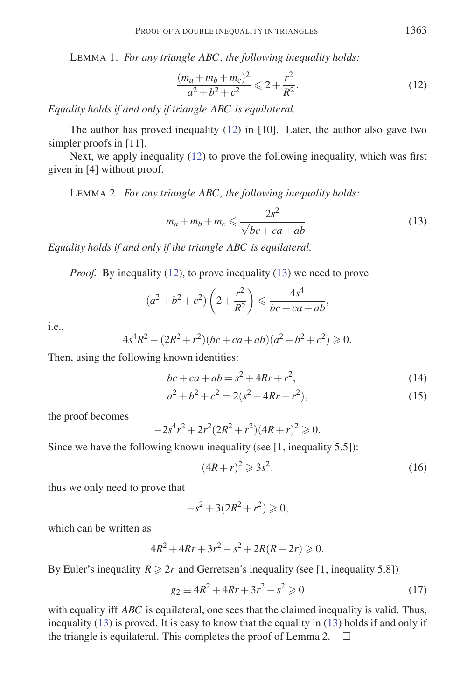LEMMA 1. *For any triangle ABC, the following inequality holds:*

$$
\frac{(m_a + m_b + m_c)^2}{a^2 + b^2 + c^2} \leq 2 + \frac{r^2}{R^2}.
$$
\n(12)

*Equality holds if and only if triangle ABC is equilateral.*

The author has proved inequality (12) in [10]. Later, the author also gave two simpler proofs in [11].

Next, we apply inequality (12) to prove the following inequality, which was first given in [4] without proof.

LEMMA 2. *For any triangle ABC, the following inequality holds:*

$$
m_a + m_b + m_c \leqslant \frac{2s^2}{\sqrt{bc + ca + ab}}.\tag{13}
$$

*Equality holds if and only if the triangle ABC is equilateral.*

*Proof.* By inequality (12), to prove inequality (13) we need to prove

$$
(a^{2}+b^{2}+c^{2})\left(2+\frac{r^{2}}{R^{2}}\right) \leq \frac{4s^{4}}{bc+ca+ab},
$$

i.e.,

$$
4s4R2 - (2R2 + r2)(bc + ca + ab)(a2 + b2 + c2) \ge 0.
$$

Then, using the following known identities:

$$
bc + ca + ab = s^2 + 4Rr + r^2,
$$
\n(14)

$$
a^2 + b^2 + c^2 = 2(s^2 - 4Rr - r^2),
$$
\n(15)

the proof becomes

$$
-2s^4r^2 + 2r^2(2R^2 + r^2)(4R + r)^2 \ge 0.
$$

Since we have the following known inequality (see [1, inequality 5.5]):

$$
(4R+r)^2 \geqslant 3s^2,\tag{16}
$$

thus we only need to prove that

$$
-s^2 + 3(2R^2 + r^2) \ge 0,
$$

which can be written as

$$
4R^2 + 4Rr + 3r^2 - s^2 + 2R(R - 2r) \ge 0.
$$

By Euler's inequality  $R \geq 2r$  and Gerretsen's inequality (see [1, inequality 5.8])

$$
g_2 \equiv 4R^2 + 4Rr + 3r^2 - s^2 \ge 0 \tag{17}
$$

with equality iff *ABC* is equilateral, one sees that the claimed inequality is valid. Thus, inequality (13) is proved. It is easy to know that the equality in (13) holds if and only if the triangle is equilateral. This completes the proof of Lemma 2.  $\square$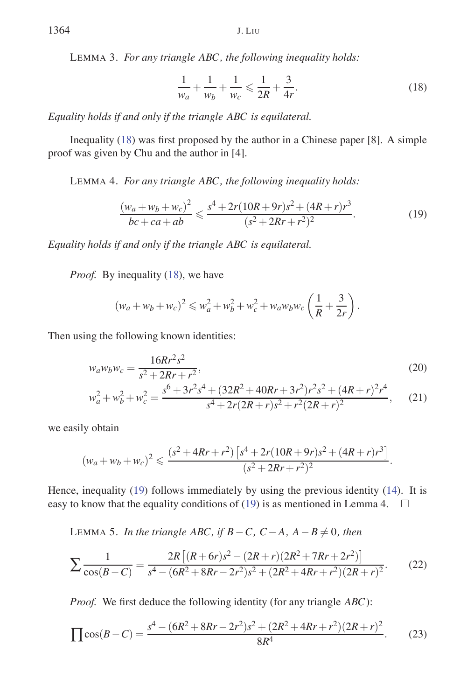LEMMA 3. *For any triangle ABC, the following inequality holds:*

$$
\frac{1}{w_a} + \frac{1}{w_b} + \frac{1}{w_c} \leq \frac{1}{2R} + \frac{3}{4r}.
$$
 (18)

*Equality holds if and only if the triangle ABC is equilateral.*

Inequality (18) was first proposed by the author in a Chinese paper [8]. A simple proof was given by Chu and the author in [4].

LEMMA 4. *For any triangle ABC, the following inequality holds:*

$$
\frac{(w_a + w_b + w_c)^2}{bc + ca + ab} \le \frac{s^4 + 2r(10R + 9r)s^2 + (4R + r)r^3}{(s^2 + 2Rr + r^2)^2}.
$$
\n(19)

*Equality holds if and only if the triangle ABC is equilateral.*

*Proof.* By inequality (18), we have

$$
(w_a + w_b + w_c)^2 \leq w_a^2 + w_b^2 + w_c^2 + w_a w_b w_c \left(\frac{1}{R} + \frac{3}{2r}\right).
$$

Then using the following known identities:

$$
w_a w_b w_c = \frac{16Rr^2s^2}{s^2 + 2Rr + r^2},
$$
\n
$$
w_a^2 + w_b^2 + w_c^2 = \frac{s^6 + 3r^2s^4 + (32R^2 + 40Rr + 3r^2)r^2s^2 + (4R + r)^2r^4}{s^4 + 2r(2R + r)s^2 + r^2(2R + r)^2},
$$
\n(21)

we easily obtain

$$
(w_a + w_b + w_c)^2 \leqslant \frac{(s^2 + 4Rr + r^2) \left[ s^4 + 2r(10R + 9r)s^2 + (4R + r)r^3 \right]}{(s^2 + 2Rr + r^2)^2}.
$$

Hence, inequality (19) follows immediately by using the previous identity (14). It is easy to know that the equality conditions of (19) is as mentioned in Lemma 4.  $\square$ 

LEMMA 5. *In the triangle ABC, if B* − *C, C* − *A, A* − *B*  $\neq$  0*, then* 

$$
\sum \frac{1}{\cos(B-C)} = \frac{2R\left[ (R+6r)s^2 - (2R+r)(2R^2 + 7Rr + 2r^2) \right]}{s^4 - (6R^2 + 8Rr - 2r^2)s^2 + (2R^2 + 4Rr + r^2)(2R+r)^2}.
$$
 (22)

*Proof.* We first deduce the following identity (for any triangle *ABC*):

$$
\prod \cos(B-C) = \frac{s^4 - (6R^2 + 8Rr - 2r^2)s^2 + (2R^2 + 4Rr + r^2)(2R + r)^2}{8R^4}.
$$
 (23)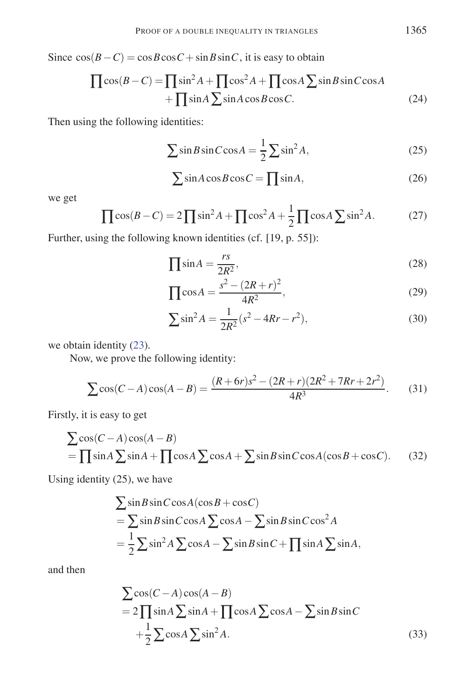Since  $cos(B - C) = cos B cos C + sin B sin C$ , it is easy to obtain

$$
\prod \cos(B-C) = \prod \sin^2 A + \prod \cos^2 A + \prod \cos A \sum \sin B \sin C \cos A
$$
  
+ 
$$
\prod \sin A \sum \sin A \cos B \cos C.
$$
 (24)

Then using the following identities:

$$
\sum \sin B \sin C \cos A = \frac{1}{2} \sum \sin^2 A,\tag{25}
$$

$$
\sum \sin A \cos B \cos C = \prod \sin A,\tag{26}
$$

we get

$$
\prod \cos(B - C) = 2 \prod \sin^2 A + \prod \cos^2 A + \frac{1}{2} \prod \cos A \sum \sin^2 A. \tag{27}
$$

Further, using the following known identities (cf. [19, p. 55]):

$$
\prod \sin A = \frac{rs}{2R^2},\tag{28}
$$

$$
\prod \cos A = \frac{s^2 - (2R + r)^2}{4R^2},\tag{29}
$$

$$
\sum \sin^2 A = \frac{1}{2R^2} (s^2 - 4Rr - r^2),
$$
\n(30)

we obtain identity (23).

Now, we prove the following identity:

$$
\sum \cos(C - A)\cos(A - B) = \frac{(R + 6r)s^2 - (2R + r)(2R^2 + 7Rr + 2r^2)}{4R^3}.
$$
 (31)

Firstly, it is easy to get

$$
\sum \cos(C - A)\cos(A - B)
$$
  
=  $\prod \sin A \sum \sin A + \prod \cos A \sum \cos A + \sum \sin B \sin C \cos A (\cos B + \cos C).$  (32)

Using identity (25), we have

$$
\sum \sin B \sin C \cos A (\cos B + \cos C)
$$
  
=  $\sum \sin B \sin C \cos A \sum \cos A - \sum \sin B \sin C \cos^2 A$   
=  $\frac{1}{2} \sum \sin^2 A \sum \cos A - \sum \sin B \sin C + \prod \sin A \sum \sin A$ ,

and then

$$
\sum \cos(C - A)\cos(A - B)
$$
  
= 2 $\prod \sin A \sum \sin A + \prod \cos A \sum \cos A - \sum \sin B \sin C$   
+ $\frac{1}{2} \sum \cos A \sum \sin^2 A$ . (33)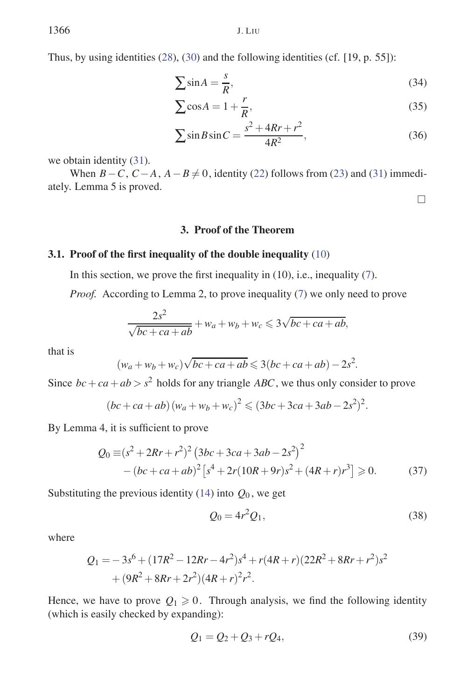Thus, by using identities (28), (30) and the following identities (cf. [19, p. 55]):

$$
\sum \sin A = \frac{s}{R},\tag{34}
$$

$$
\sum \cos A = 1 + \frac{r}{R},\tag{35}
$$

$$
\sum \sin B \sin C = \frac{s^2 + 4Rr + r^2}{4R^2},\tag{36}
$$

we obtain identity (31).

When  $B-C$ ,  $C-A$ ,  $A-B \neq 0$ , identity (22) follows from (23) and (31) immediately. Lemma 5 is proved.

 $\Box$ 

# **3. Proof of the Theorem**

#### **3.1. Proof of the first inequality of the double inequality** (10)

In this section, we prove the first inequality in  $(10)$ , i.e., inequality  $(7)$ .

*Proof.* According to Lemma 2, to prove inequality (7) we only need to prove

$$
\frac{2s^2}{\sqrt{bc+ca+ab}} + w_a + w_b + w_c \leq 3\sqrt{bc+ca+ab},
$$

that is

$$
(w_a + w_b + w_c)\sqrt{bc + ca + ab} \leqslant 3(bc + ca + ab) - 2s^2.
$$

Since  $bc + ca + ab > s^2$  holds for any triangle *ABC*, we thus only consider to prove

$$
(bc + ca + ab) (w_a + w_b + w_c)^2 \le (3bc + 3ca + 3ab - 2s^2)^2.
$$

By Lemma 4, it is sufficient to prove

$$
Q_0 \equiv (s^2 + 2Rr + r^2)^2 (3bc + 3ca + 3ab - 2s^2)^2
$$
  
-(bc + ca + ab)<sup>2</sup> [s<sup>4</sup> + 2r(10R + 9r)s<sup>2</sup> + (4R + r)r<sup>3</sup>]  $\ge 0$ . (37)

Substituting the previous identity  $(14)$  into  $Q_0$ , we get

$$
Q_0 = 4r^2 Q_1,\tag{38}
$$

where

$$
Q_1 = -3s^6 + (17R^2 - 12Rr - 4r^2)s^4 + r(4R + r)(22R^2 + 8Rr + r^2)s^2
$$
  
+  $(9R^2 + 8Rr + 2r^2)(4R + r)^2r^2$ .

Hence, we have to prove  $Q_1 \geq 0$ . Through analysis, we find the following identity (which is easily checked by expanding):

$$
Q_1 = Q_2 + Q_3 + rQ_4, \tag{39}
$$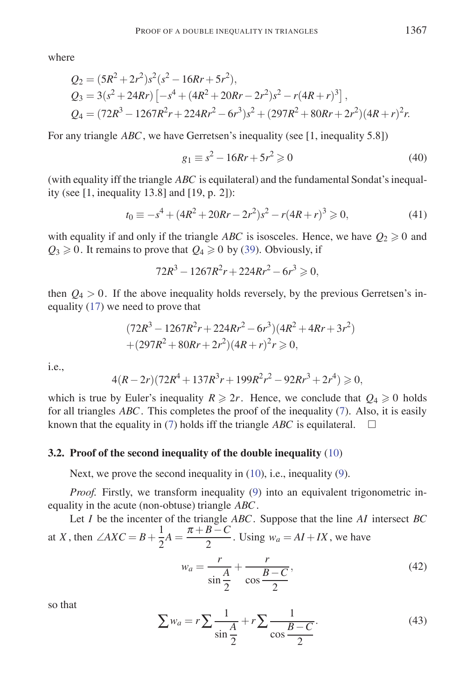where

$$
Q_2 = (5R^2 + 2r^2)s^2(s^2 - 16Rr + 5r^2),
$$
  
\n
$$
Q_3 = 3(s^2 + 24Rr) \left[ -s^4 + (4R^2 + 20Rr - 2r^2)s^2 - r(4R + r)^3 \right],
$$
  
\n
$$
Q_4 = (72R^3 - 1267R^2r + 224Rr^2 - 6r^3)s^2 + (297R^2 + 80Rr + 2r^2)(4R + r)^2r.
$$

For any triangle *ABC*, we have Gerretsen's inequality (see [1, inequality 5.8])

$$
g_1 \equiv s^2 - 16Rr + 5r^2 \ge 0 \tag{40}
$$

(with equality iff the triangle *ABC* is equilateral) and the fundamental Sondat's inequality (see [1, inequality 13.8] and [19, p. 2]):

$$
t_0 \equiv -s^4 + (4R^2 + 20Rr - 2r^2)s^2 - r(4R + r)^3 \ge 0,
$$
\n(41)

with equality if and only if the triangle *ABC* is isosceles. Hence, we have  $Q_2 \ge 0$  and  $Q_3 \ge 0$ . It remains to prove that  $Q_4 \ge 0$  by (39). Obviously, if

 $72R^3 - 1267R^2r + 224Rr^2 - 6r^3 \geqslant 0,$ 

then  $Q_4 > 0$ . If the above inequality holds reversely, by the previous Gerretsen's inequality (17) we need to prove that

$$
(72R3 - 1267R2r + 224Rr2 - 6r3)(4R2 + 4Rr + 3r2)
$$
  
+ (297R<sup>2</sup> + 80Rr + 2r<sup>2</sup>)(4R + r)<sup>2</sup>r  $\ge 0$ ,

i.e.,

$$
4(R-2r)(72R^4+137R^3r+199R^2r^2-92Rr^3+2r^4) \geq 0,
$$

which is true by Euler's inequality  $R \ge 2r$ . Hence, we conclude that  $Q_4 \ge 0$  holds for all triangles *ABC*. This completes the proof of the inequality (7). Also, it is easily known that the equality in (7) holds iff the triangle *ABC* is equilateral.  $\square$ 

#### **3.2. Proof of the second inequality of the double inequality** (10)

Next, we prove the second inequality in (10), i.e., inequality (9).

*Proof.* Firstly, we transform inequality (9) into an equivalent trigonometric inequality in the acute (non-obtuse) triangle *ABC*.

Let *I* be the incenter of the triangle *ABC*. Suppose that the line *AI* intersect *BC* at *X*, then  $\angle AXC = B + \frac{1}{2}$  $\frac{1}{2}A = \frac{\pi + B - C}{2}$ . Using  $w_a = AI + IX$ , we have  $w_a = \frac{r}{\sqrt{r}}$  $\frac{A}{\sin \frac{A}{2}}$  $+\frac{r}{r}$  $\frac{B-C}{2}$ 2 *,* (42)

so that

$$
\sum w_a = r \sum \frac{1}{\sin \frac{A}{2}} + r \sum \frac{1}{\cos \frac{B - C}{2}}.
$$
\n(43)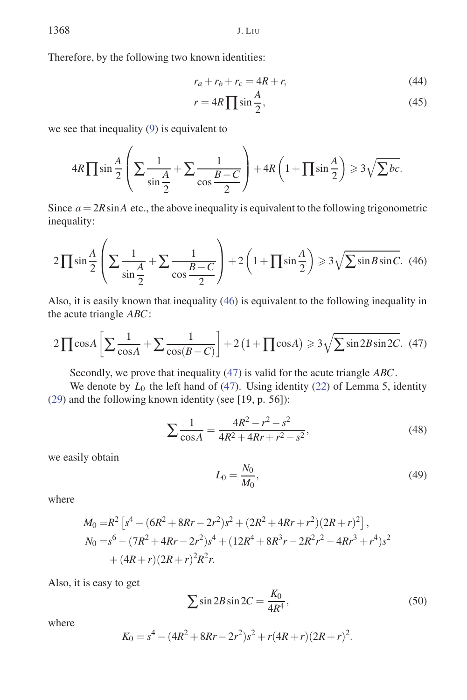Therefore, by the following two known identities:

$$
r_a + r_b + r_c = 4R + r,\tag{44}
$$

$$
r = 4R \prod \sin \frac{A}{2},\tag{45}
$$

we see that inequality (9) is equivalent to

$$
4R\prod \sin\frac{A}{2}\left(\sum \frac{1}{\sin\frac{A}{2}}+\sum \frac{1}{\cos\frac{B-C}{2}}\right)+4R\left(1+\prod \sin\frac{A}{2}\right) \geq 3\sqrt{\sum bc}.
$$

Since  $a = 2R \sin A$  etc., the above inequality is equivalent to the following trigonometric inequality:

$$
2\prod \sin\frac{A}{2}\left(\sum \frac{1}{\sin\frac{A}{2}} + \sum \frac{1}{\cos\frac{B-C}{2}}\right) + 2\left(1 + \prod \sin\frac{A}{2}\right) \ge 3\sqrt{\sum \sin B \sin C}.\tag{46}
$$

Also, it is easily known that inequality (46) is equivalent to the following inequality in the acute triangle *ABC*:

$$
2\prod \cos A \left[\sum \frac{1}{\cos A} + \sum \frac{1}{\cos(B-C)}\right] + 2\left(1 + \prod \cos A\right) \ge 3\sqrt{\sum \sin 2B \sin 2C}.\tag{47}
$$

Secondly, we prove that inequality (47) is valid for the acute triangle *ABC*.

We denote by  $L_0$  the left hand of (47). Using identity (22) of Lemma 5, identity (29) and the following known identity (see [19, p. 56]):

$$
\sum \frac{1}{\cos A} = \frac{4R^2 - r^2 - s^2}{4R^2 + 4Rr + r^2 - s^2},\tag{48}
$$

we easily obtain

$$
L_0 = \frac{N_0}{M_0},\tag{49}
$$

where

$$
M_0 = R^2 \left[ s^4 - (6R^2 + 8Rr - 2r^2)s^2 + (2R^2 + 4Rr + r^2)(2R + r)^2 \right],
$$
  
\n
$$
N_0 = s^6 - (7R^2 + 4Rr - 2r^2)s^4 + (12R^4 + 8R^3r - 2R^2r^2 - 4Rr^3 + r^4)s^2
$$
  
\n
$$
+ (4R + r)(2R + r)^2R^2r.
$$

Also, it is easy to get

$$
\sum \sin 2B \sin 2C = \frac{K_0}{4R^4},\tag{50}
$$

where

$$
K_0 = s^4 - (4R^2 + 8Rr - 2r^2)s^2 + r(4R + r)(2R + r)^2.
$$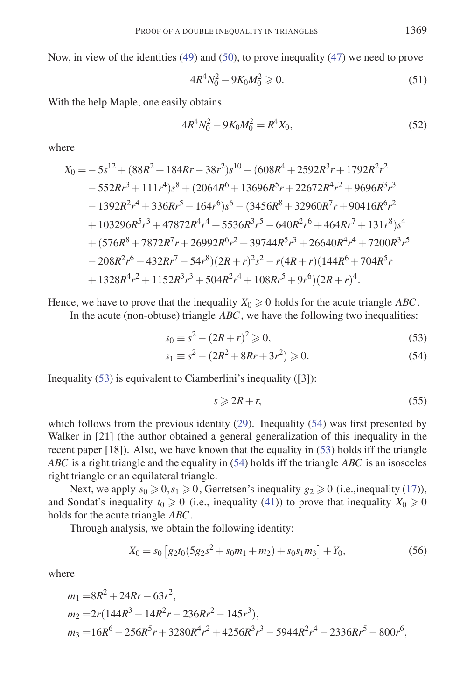Now, in view of the identities (49) and (50), to prove inequality (47) we need to prove

$$
4R^4N_0^2 - 9K_0M_0^2 \ge 0.
$$
\n(51)

With the help Maple, one easily obtains

$$
4R^4N_0^2 - 9K_0M_0^2 = R^4X_0,
$$
\t(52)

where

$$
X_0 = -5s^{12} + (88R^2 + 184Rr - 38r^2)s^{10} - (608R^4 + 2592R^3r + 1792R^2r^2
$$
  
\n
$$
-552Rr^3 + 111r^4)s^8 + (2064R^6 + 13696R^5r + 22672R^4r^2 + 9696R^3r^3
$$
  
\n
$$
-1392R^2r^4 + 336Rr^5 - 164r^6)s^6 - (3456R^8 + 32960R^7r + 90416R^6r^2
$$
  
\n
$$
+103296R^5r^3 + 47872R^4r^4 + 5536R^3r^5 - 640R^2r^6 + 464Rr^7 + 131r^8)s^4
$$
  
\n
$$
+ (576R^8 + 7872R^7r + 26992R^6r^2 + 39744R^5r^3 + 26640R^4r^4 + 7200R^3r^5
$$
  
\n
$$
-208R^2r^6 - 432Rr^7 - 54r^8)(2R + r)^2s^2 - r(4R + r)(144R^6 + 704R^5r + 1328R^4r^2 + 1152R^3r^3 + 504R^2r^4 + 108Rr^5 + 9r^6)(2R + r)^4.
$$

Hence, we have to prove that the inequality  $X_0 \geq 0$  holds for the acute triangle ABC.

In the acute (non-obtuse) triangle *ABC*, we have the following two inequalities:

$$
s_0 \equiv s^2 - (2R + r)^2 \geqslant 0,
$$
\n(53)

$$
s_1 \equiv s^2 - (2R^2 + 8Rr + 3r^2) \ge 0.
$$
 (54)

Inequality (53) is equivalent to Ciamberlini's inequality ([3]):

$$
s \geqslant 2R + r,\tag{55}
$$

which follows from the previous identity (29). Inequality (54) was first presented by Walker in [21] (the author obtained a general generalization of this inequality in the recent paper [18]). Also, we have known that the equality in (53) holds iff the triangle *ABC* is a right triangle and the equality in (54) holds iff the triangle *ABC* is an isosceles right triangle or an equilateral triangle.

Next, we apply  $s_0 \ge 0, s_1 \ge 0$ , Gerretsen's inequality  $g_2 \ge 0$  (i.e.,inequality (17)), and Sondat's inequality  $t_0 \ge 0$  (i.e., inequality (41)) to prove that inequality  $X_0 \ge 0$ holds for the acute triangle *ABC*.

Through analysis, we obtain the following identity:

$$
X_0 = s_0 \left[ g_2 t_0 (5 g_2 s^2 + s_0 m_1 + m_2) + s_0 s_1 m_3 \right] + Y_0,
$$
\n(56)

where

$$
m_1 = 8R^2 + 24Rr - 63r^2,
$$
  
\n
$$
m_2 = 2r(144R^3 - 14R^2r - 236Rr^2 - 145r^3),
$$
  
\n
$$
m_3 = 16R^6 - 256R^5r + 3280R^4r^2 + 4256R^3r^3 - 5944R^2r^4 - 2336Rr^5 - 800r^6,
$$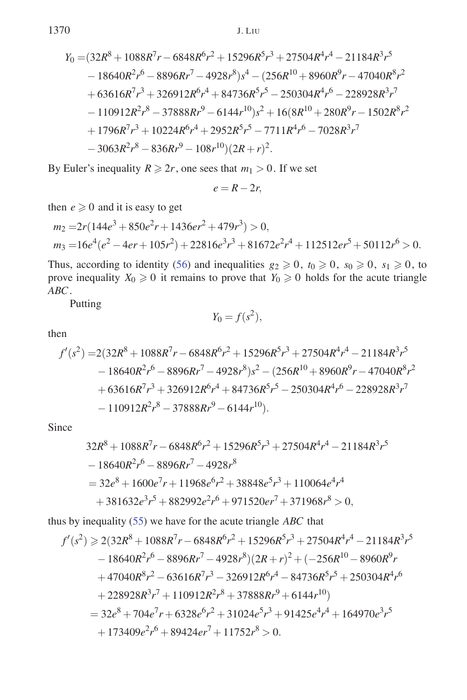$$
Y_0 = (32R^8 + 1088R^7r - 6848R^6r^2 + 15296R^5r^3 + 27504R^4r^4 - 21184R^3r^5 - 18640R^2r^6 - 8896Rr^7 - 4928r^8)s^4 - (256R^{10} + 8960R^9r - 47040R^8r^2 + 63616R^7r^3 + 326912R^6r^4 + 84736R^5r^5 - 250304R^4r^6 - 228928R^3r^7 - 110912R^2r^8 - 37888Rr^9 - 6144r^{10})s^2 + 16(8R^{10} + 280R^9r - 1502R^8r^2 + 1796R^7r^3 + 10224R^6r^4 + 2952R^5r^5 - 7711R^4r^6 - 7028R^3r^7 - 3063R^2r^8 - 836Rr^9 - 108r^{10})(2R + r)^2.
$$

By Euler's inequality  $R \ge 2r$ , one sees that  $m_1 > 0$ . If we set

$$
e=R-2r,
$$

then  $e \ge 0$  and it is easy to get

$$
m_2 = 2r(144e^3 + 850e^2r + 1436e^2r + 479r^3) > 0,
$$
  
\n
$$
m_3 = 16e^4(e^2 - 4er + 105r^2) + 22816e^3r^3 + 81672e^2r^4 + 112512er^5 + 50112r^6 > 0.
$$

Thus, according to identity (56) and inequalities  $g_2 \ge 0$ ,  $t_0 \ge 0$ ,  $s_0 \ge 0$ ,  $s_1 \ge 0$ , to prove inequality  $X_0 \ge 0$  it remains to prove that  $Y_0 \ge 0$  holds for the acute triangle *ABC*.

Putting

$$
Y_0 = f(s^2),
$$

then

$$
f'(s^2) = 2(32R^8 + 1088R^7r - 6848R^6r^2 + 15296R^5r^3 + 27504R^4r^4 - 21184R^3r^5 - 18640R^2r^6 - 8896Rr^7 - 4928r^8)s^2 - (256R^{10} + 8960R^9r - 47040R^8r^2 + 63616R^7r^3 + 326912R^6r^4 + 84736R^5r^5 - 250304R^4r^6 - 228928R^3r^7 - 110912R^2r^8 - 37888Rr^9 - 6144r^{10}).
$$

Since

$$
32R8 + 1088R7r - 6848R6r2 + 15296R5r3 + 27504R4r4 - 21184R3r5
$$
  
- 18640R<sup>2</sup>r<sup>6</sup> - 8896Rr<sup>7</sup> - 4928r<sup>8</sup>  
= 32e<sup>8</sup> + 1600e<sup>7</sup>r + 11968e<sup>6</sup>r<sup>2</sup> + 38848e<sup>5</sup>r<sup>3</sup> + 110064e<sup>4</sup>r<sup>4</sup>  
+ 381632e<sup>3</sup>r<sup>5</sup> + 882992e<sup>2</sup>r<sup>6</sup> + 971520e<sup>7</sup>r<sup>7</sup> + 371968r<sup>8</sup> > 0,

thus by inequality (55) we have for the acute triangle *ABC* that

$$
f'(s^2) \ge 2(32R^8 + 1088R^7r - 6848R^6r^2 + 15296R^5r^3 + 27504R^4r^4 - 21184R^3r^5 - 18640R^2r^6 - 8896Rr^7 - 4928r^8)(2R + r)^2 + (-256R^{10} - 8960R^9r + 47040R^8r^2 - 63616R^7r^3 - 326912R^6r^4 - 84736R^5r^5 + 250304R^4r^6 + 228928R^3r^7 + 110912R^2r^8 + 37888Rr^9 + 6144r^{10})
$$
  
= 32e<sup>8</sup> + 704e<sup>7</sup>r + 6328e<sup>6</sup>r<sup>2</sup> + 31024e<sup>5</sup>r<sup>3</sup> + 91425e<sup>4</sup>r<sup>4</sup> + 164970e<sup>3</sup>r<sup>5</sup>  
+ 173409e<sup>2</sup>r<sup>6</sup> + 89424er<sup>7</sup> + 11752r<sup>8</sup> > 0.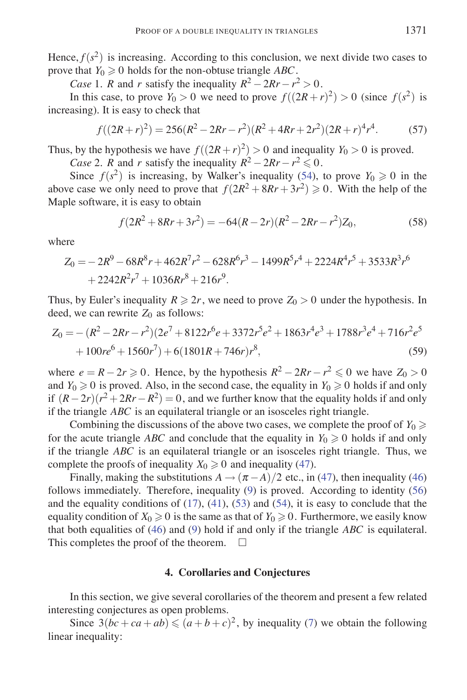Hence,  $f(s^2)$  is increasing. According to this conclusion, we next divide two cases to prove that  $Y_0 \geq 0$  holds for the non-obtuse triangle *ABC*.

*Case* 1. *R* and *r* satisfy the inequality  $R^2 - 2Rr - r^2 > 0$ .

In this case, to prove  $Y_0 > 0$  we need to prove  $f((2R + r)^2) > 0$  (since  $f(s^2)$ ) is increasing). It is easy to check that

$$
f((2R+r)^2) = 256(R^2 - 2Rr - r^2)(R^2 + 4Rr + 2r^2)(2R+r)^4r^4.
$$
 (57)

Thus, by the hypothesis we have  $f((2R+r)^2) > 0$  and inequality  $Y_0 > 0$  is proved.

*Case* 2. *R* and *r* satisfy the inequality  $R^2 - 2Rr - r^2 \le 0$ .

Since  $f(s^2)$  is increasing, by Walker's inequality (54), to prove  $Y_0 \ge 0$  in the above case we only need to prove that  $f(2R^2 + 8Rr + 3r^2) \ge 0$ . With the help of the Maple software, it is easy to obtain

$$
f(2R^2 + 8Rr + 3r^2) = -64(R - 2r)(R^2 - 2Rr - r^2)Z_0,
$$
\n(58)

where

$$
Z_0 = -2R^9 - 68R^8r + 462R^7r^2 - 628R^6r^3 - 1499R^5r^4 + 2224R^4r^5 + 3533R^3r^6
$$
  
+ 2242R^2r^7 + 1036Rr^8 + 216r^9.

Thus, by Euler's inequality  $R \ge 2r$ , we need to prove  $Z_0 > 0$  under the hypothesis. In deed, we can rewrite  $Z_0$  as follows:

$$
Z_0 = -(R^2 - 2Rr - r^2)(2e^7 + 8122r^6e + 3372r^5e^2 + 1863r^4e^3 + 1788r^3e^4 + 716r^2e^5
$$
  
+ 100re<sup>6</sup> + 1560r<sup>7</sup>) + 6(1801R + 746r)r<sup>8</sup>, (59)

where  $e = R - 2r \ge 0$ . Hence, by the hypothesis  $R^2 - 2Rr - r^2 \le 0$  we have  $Z_0 > 0$ and  $Y_0 \ge 0$  is proved. Also, in the second case, the equality in  $Y_0 \ge 0$  holds if and only if  $(R-2r)(r^2+2Rr-R^2) = 0$ , and we further know that the equality holds if and only if the triangle *ABC* is an equilateral triangle or an isosceles right triangle.

Combining the discussions of the above two cases, we complete the proof of  $Y_0 \geq 0$ for the acute triangle *ABC* and conclude that the equality in  $Y_0 \geq 0$  holds if and only if the triangle *ABC* is an equilateral triangle or an isosceles right triangle. Thus, we complete the proofs of inequality  $X_0 \ge 0$  and inequality (47).

Finally, making the substitutions  $A \rightarrow (\pi - A)/2$  etc., in (47), then inequality (46) follows immediately. Therefore, inequality (9) is proved. According to identity (56) and the equality conditions of  $(17)$ ,  $(41)$ ,  $(53)$  and  $(54)$ , it is easy to conclude that the equality condition of  $X_0 \geq 0$  is the same as that of  $Y_0 \geq 0$ . Furthermore, we easily know that both equalities of (46) and (9) hold if and only if the triangle *ABC* is equilateral. This completes the proof of the theorem.  $\Box$ 

### **4. Corollaries and Conjectures**

In this section, we give several corollaries of the theorem and present a few related interesting conjectures as open problems.

Since  $3(bc + ca + ab) \leq (a+b+c)^2$ , by inequality (7) we obtain the following linear inequality: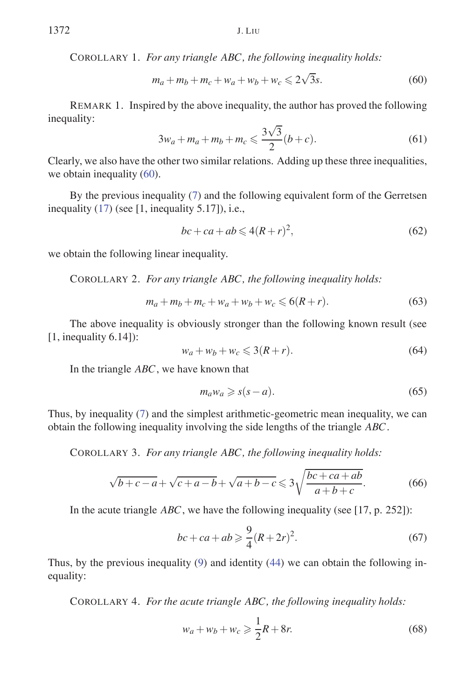COROLLARY 1. *For any triangle ABC, the following inequality holds:*

$$
m_a + m_b + m_c + w_a + w_b + w_c \leq 2\sqrt{3}s.
$$
 (60)

REMARK 1. Inspired by the above inequality, the author has proved the following inequality:

$$
3w_a + m_a + m_b + m_c \leqslant \frac{3\sqrt{3}}{2}(b+c). \tag{61}
$$

Clearly, we also have the other two similar relations. Adding up these three inequalities, we obtain inequality (60).

By the previous inequality (7) and the following equivalent form of the Gerretsen inequality (17) (see [1, inequality 5.17]), i.e.,

$$
bc + ca + ab \leqslant 4(R + r)^2,
$$
\n(62)

we obtain the following linear inequality.

COROLLARY 2. *For any triangle ABC, the following inequality holds:*

$$
m_a + m_b + m_c + w_a + w_b + w_c \leq 6(R + r).
$$
 (63)

The above inequality is obviously stronger than the following known result (see  $[1,$  inequality  $6.14]$ :

$$
w_a + w_b + w_c \leqslant 3(R + r). \tag{64}
$$

In the triangle *ABC*, we have known that

$$
m_a w_a \geqslant s(s-a). \tag{65}
$$

Thus, by inequality (7) and the simplest arithmetic-geometric mean inequality, we can obtain the following inequality involving the side lengths of the triangle *ABC*.

COROLLARY 3. *For any triangle ABC, the following inequality holds:*

$$
\sqrt{b+c-a} + \sqrt{c+a-b} + \sqrt{a+b-c} \leqslant 3\sqrt{\frac{bc+ca+ab}{a+b+c}}.\tag{66}
$$

In the acute triangle *ABC*, we have the following inequality (see [17, p. 252]):

$$
bc + ca + ab \ge \frac{9}{4}(R + 2r)^2.
$$
 (67)

Thus, by the previous inequality (9) and identity (44) we can obtain the following inequality:

COROLLARY 4. *For the acute triangle ABC, the following inequality holds:*

$$
w_a + w_b + w_c \ge \frac{1}{2}R + 8r.
$$
 (68)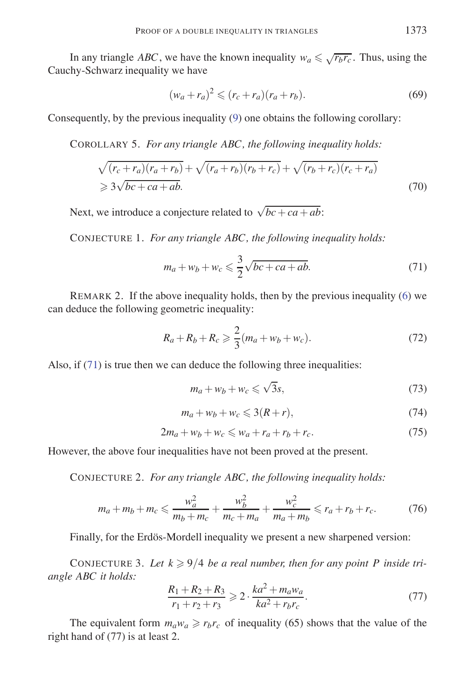In any triangle *ABC*, we have the known inequality  $w_a \leq \sqrt{r_b r_c}$ . Thus, using the Cauchy-Schwarz inequality we have

$$
(w_a + r_a)^2 \le (r_c + r_a)(r_a + r_b).
$$
 (69)

Consequently, by the previous inequality (9) one obtains the following corollary:

COROLLARY 5. *For any triangle ABC, the following inequality holds:*

$$
\sqrt{(r_c+r_a)(r_a+r_b)} + \sqrt{(r_a+r_b)(r_b+r_c)} + \sqrt{(r_b+r_c)(r_c+r_a)}
$$
  
\n
$$
\geq 3\sqrt{bc+ca+ab}.
$$
\n(70)

Next, we introduce a conjecture related to  $\sqrt{bc + ca + ab}$ .

CONJECTURE 1. *For any triangle ABC, the following inequality holds:*

$$
m_a + w_b + w_c \leqslant \frac{3}{2} \sqrt{bc + ca + ab}.
$$
\n<sup>(71)</sup>

REMARK 2. If the above inequality holds, then by the previous inequality (6) we can deduce the following geometric inequality:

$$
R_a + R_b + R_c \ge \frac{2}{3}(m_a + w_b + w_c).
$$
 (72)

Also, if  $(71)$  is true then we can deduce the following three inequalities:

$$
m_a + w_b + w_c \leqslant \sqrt{3}s,\tag{73}
$$

$$
m_a + w_b + w_c \leqslant 3(R + r),\tag{74}
$$

$$
2m_a + w_b + w_c \leqslant w_a + r_a + r_b + r_c. \tag{75}
$$

However, the above four inequalities have not been proved at the present.

CONJECTURE 2. *For any triangle ABC, the following inequality holds:*

$$
m_a + m_b + m_c \leqslant \frac{w_a^2}{m_b + m_c} + \frac{w_b^2}{m_c + m_a} + \frac{w_c^2}{m_a + m_b} \leqslant r_a + r_b + r_c.
$$
 (76)

Finally, for the Erdös-Mordell inequality we present a new sharpened version:

CONJECTURE 3. Let  $k \geqslant 9/4$  be a real number, then for any point P inside tri*angle ABC it holds:*

$$
\frac{R_1 + R_2 + R_3}{r_1 + r_2 + r_3} \ge 2 \cdot \frac{ka^2 + m_a w_a}{ka^2 + r_b r_c}.
$$
\n(77)

The equivalent form  $m_a w_a \ge r_b r_c$  of inequality (65) shows that the value of the right hand of (77) is at least 2.